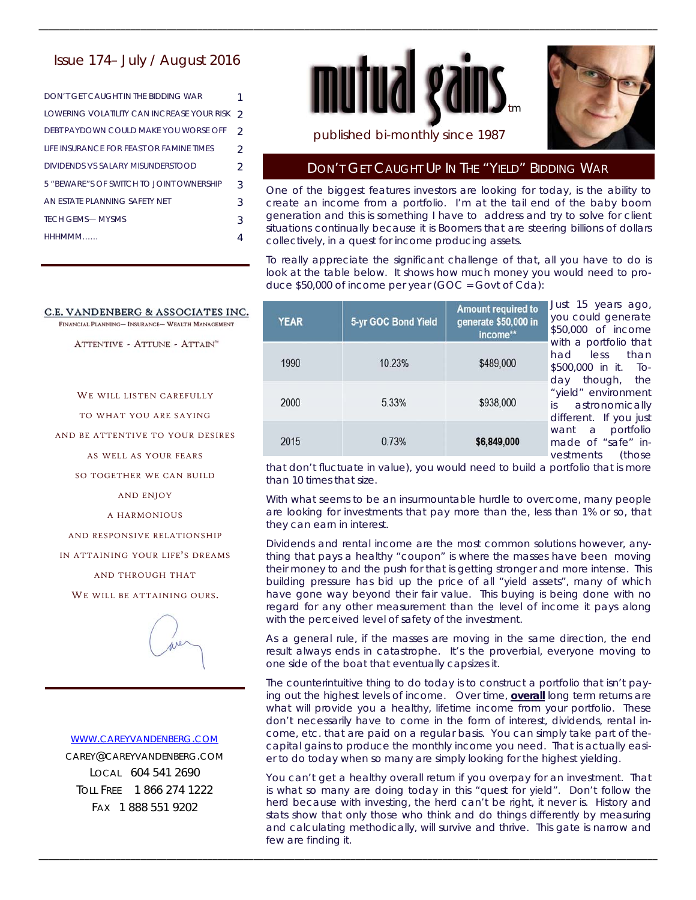## Issue 174– July / August 2016

| DON'T GFT CAUGHT IN THE BIDDING WAR        |               |
|--------------------------------------------|---------------|
| LOWERING VOLATILITY CAN INCREASE YOUR RISK | $\mathcal{D}$ |
| DEBT PAYDOWN COULD MAKE YOU WORSE OFF      | $\mathcal{D}$ |
| LIFF INSURANCE FOR FFAST OR FAMINE TIMES   | $\mathcal{P}$ |
| DIVIDENDS VS SAI ARY MISUNDERSTOOD         | $\mathcal{P}$ |
| 5 "BEWARE"S OF SWITCH TO JOINT OWNERSHIP   | 3             |
| AN ESTATE PLANNING SAFETY NET              | 3             |
| <b>TECH GEMS— MYSMS</b>                    | 3             |
| HHHMMM                                     |               |

#### C.E. VANDENBERG & ASSOCIATES INC.

FINANCIAL PLANNING- INSURANCE- WEALTH MANAGEMENT

ATTENTIVE - ATTUNE - ATTAIN"

WE WILL LISTEN CAREFULLY

TO WHAT YOU ARE SAYING

AND BE ATTENTIVE TO YOUR DESIRES

AS WELL AS YOUR FEARS

SO TOGETHER WE CAN BUILD

AND ENJOY

A HARMONIOUS

AND RESPONSIVE RELATIONSHIP

IN ATTAINING YOUR LIFE'S DREAMS

AND THROUGH THAT

WE WILL BE ATTAINING OURS.



#### WWW.CAREYVANDENBERG.COM

CAREY@CAREYVANDENBERG.COM LOCAL 604 541 2690 TOLL FREE 1 866 274 1222 FAX 1 888 551 9202



\_\_\_\_\_\_\_\_\_\_\_\_\_\_\_\_\_\_\_\_\_\_\_\_\_\_\_\_\_\_\_\_\_\_\_\_\_\_\_\_\_\_\_\_\_\_\_\_\_\_\_\_\_\_\_\_\_\_\_\_\_\_\_\_\_\_\_\_\_\_\_\_\_\_\_\_\_\_\_\_\_\_\_\_\_\_\_\_\_\_\_\_\_\_\_\_\_\_\_\_\_\_\_\_\_\_\_\_\_\_\_\_\_\_\_\_\_\_\_\_\_



published bi-monthly since 1987

### DON'T GET CAUGHT UP IN THE "YIELD" BIDDING WAR

One of the biggest features investors are looking for today, is the ability to create an income from a portfolio. I'm at the tail end of the baby boom generation and this is something I have to address and try to solve for client situations continually because it is Boomers that are steering billions of dollars collectively, in a quest for income producing assets.

To really appreciate the significant challenge of that, all you have to do is look at the table below. It shows how much money you would need to produce \$50,000 of income per year (GOC = Govt of Cda):

| <b>YEAR</b> | 5-yr GOC Bond Yield | <b>Amount required to</b><br>generate \$50,000 in<br>income** | Just 15 years ago,<br>you could generate<br>\$50,000 of income                                                                                                                                                            |
|-------------|---------------------|---------------------------------------------------------------|---------------------------------------------------------------------------------------------------------------------------------------------------------------------------------------------------------------------------|
| 1990        | 10.23%              | \$489,000                                                     | with a portfolio that<br>had less than<br>\$500,000 in it. To-<br>day though, the<br>"yield" environment<br>is astronomically<br>different. If you just<br>want a portfolio<br>made of "safe" in-<br>vestments<br>(those) |
| 2000        | 5.33%               | \$938,000                                                     |                                                                                                                                                                                                                           |
| 2015        | 0.73%               | \$6,849,000                                                   |                                                                                                                                                                                                                           |

that don't fluctuate in value), you would need to build a portfolio that is more than 10 times that size.

With what seems to be an insurmountable hurdle to overcome, many people are looking for investments that pay more than the, less than 1% or so, that they can earn in interest.

Dividends and rental income are the most common solutions however, anything that pays a healthy "coupon" is where the masses have been moving their money to and the push for that is getting stronger and more intense. This building pressure has bid up the price of all "yield assets", many of which have gone way beyond their fair value. This buying is being done with no regard for any other measurement than the level of income it pays along with the perceived level of safety of the investment.

As a general rule, if the masses are moving in the same direction, the end result always ends in catastrophe. It's the proverbial, everyone moving to one side of the boat that eventually capsizes it.

The counterintuitive thing to do today is to construct a portfolio that isn't paying out the highest levels of income. Over time, **overall** long term returns are what will provide you a healthy, lifetime income from your portfolio. These don't necessarily have to come in the form of interest, dividends, rental income, etc. that are paid on a regular basis. You can simply take part of thecapital gains to produce the monthly income you need. That is actually easier to do today when so many are simply looking for the highest yielding.

You can't get a healthy overall return if you overpay for an investment. That is what so many are doing today in this "quest for yield". Don't follow the herd because with investing, the herd can't be right, it never is. History and stats show that only those who think and do things differently by measuring and calculating methodically, will survive and thrive. This gate is narrow and few are finding it.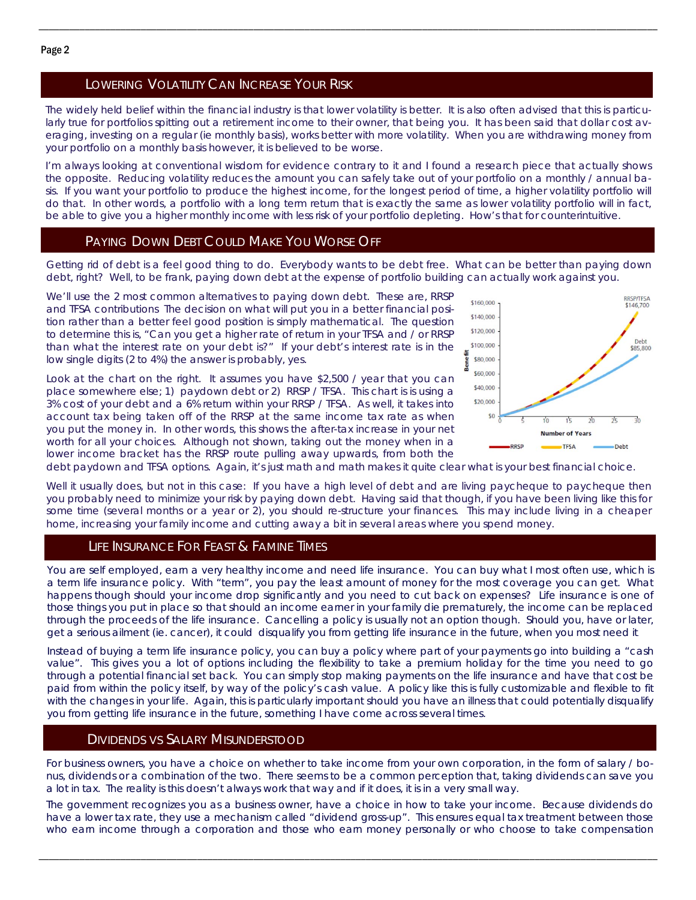## LOWERING VOLATILITY CAN INCREASE YOUR RISK

The widely held belief within the financial industry is that lower volatility is better. It is also often advised that this is particularly true for portfolios spitting out a retirement income to their owner, that being you. It has been said that dollar cost averaging, investing on a regular (ie monthly basis), works better with more volatility. When you are withdrawing money from your portfolio on a monthly basis however, it is believed to be worse.

\_\_\_\_\_\_\_\_\_\_\_\_\_\_\_\_\_\_\_\_\_\_\_\_\_\_\_\_\_\_\_\_\_\_\_\_\_\_\_\_\_\_\_\_\_\_\_\_\_\_\_\_\_\_\_\_\_\_\_\_\_\_\_\_\_\_\_\_\_\_\_\_\_\_\_\_\_\_\_\_\_\_\_\_\_\_\_\_\_\_\_\_\_\_\_\_\_\_\_\_\_\_\_\_\_\_\_\_\_\_\_\_\_\_\_\_\_\_\_\_\_

I'm always looking at conventional wisdom for evidence contrary to it and I found a research piece that actually shows the opposite. Reducing volatility reduces the amount you can safely take out of your portfolio on a monthly / annual basis. If you want your portfolio to produce the highest income, for the longest period of time, a higher volatility portfolio will do that. In other words, a portfolio with a long term return that is exactly the same as lower volatility portfolio will in fact, be able to give you a higher monthly income with less risk of your portfolio depleting. How's that for counterintuitive.

### PAYING DOWN DEBT COULD MAKE YOU WORSE OFF

Getting rid of debt is a feel good thing to do. Everybody wants to be debt free. What can be better than paying down debt, right? Well, to be frank, paying down debt at the expense of portfolio building can actually work against you.

We'll use the 2 most common alternatives to paying down debt. These are, RRSP and TFSA contributions The decision on what will put you in a better financial position rather than a better feel good position is simply mathematical. The question to determine this is, "Can you get a higher rate of return in your TFSA and / or RRSP than what the interest rate on your debt is?" If your debt's interest rate is in the low single digits (2 to 4%) the answer is probably, yes.

Look at the chart on the right. It assumes you have \$2,500 / year that you can place somewhere else; 1) paydown debt or 2) RRSP / TFSA. This chart is is using a 3% cost of your debt and a 6% return within your RRSP / TFSA. As well, it takes into account tax being taken off of the RRSP at the same income tax rate as when you put the money in. In other words, this shows the after-tax increase in your net worth for all your choices. Although not shown, taking out the money when in a lower income bracket has the RRSP route pulling away upwards, from both the



debt paydown and TFSA options. Again, it's just math and math makes it quite clear what is your best financial choice.

Well it usually does, but not in this case: If you have a high level of debt and are living paycheque to paycheque then you probably need to minimize your risk by paying down debt. Having said that though, if you have been living like this for some time (several months or a year or 2), you should re-structure your finances. This may include living in a cheaper home, increasing your family income and cutting away a bit in several areas where you spend money.

#### LIFE INSURANCE FOR FEAST & FAMINE TIMES

You are self employed, earn a very healthy income and need life insurance. You can buy what I most often use, which is a term life insurance policy. With "term", you pay the least amount of money for the most coverage you can get. What happens though should your income drop significantly and you need to cut back on expenses? Life insurance is one of those things you put in place so that should an income earner in your family die prematurely, the income can be replaced through the proceeds of the life insurance. Cancelling a policy is usually not an option though. Should you, have or later, get a serious ailment (ie. cancer), it could disqualify you from getting life insurance in the future, when you most need it.

Instead of buying a term life insurance policy, you can buy a policy where part of your payments go into building a "cash value". This gives you a lot of options including the flexibility to take a premium holiday for the time you need to go through a potential financial set back. You can simply stop making payments on the life insurance and have that cost be paid from within the policy itself, by way of the policy's cash value. A policy like this is fully customizable and flexible to fit with the changes in your life. Again, this is particularly important should you have an illness that could potentially disqualify you from getting life insurance in the future, something I have come across several times.

#### DIVIDENDS VS SALARY MISUNDERSTOOD

For business owners, you have a choice on whether to take income from your own corporation, in the form of salary / bonus, dividends or a combination of the two. There seems to be a common perception that, taking dividends can save you a lot in tax. The reality is this doesn't always work that way and if it does, it is in a very small way.

The government recognizes you as a business owner, have a choice in how to take your income. Because dividends do have a lower tax rate, they use a mechanism called "dividend gross-up". This ensures equal tax treatment between those who earn income through a corporation and those who earn money personally or who choose to take compensation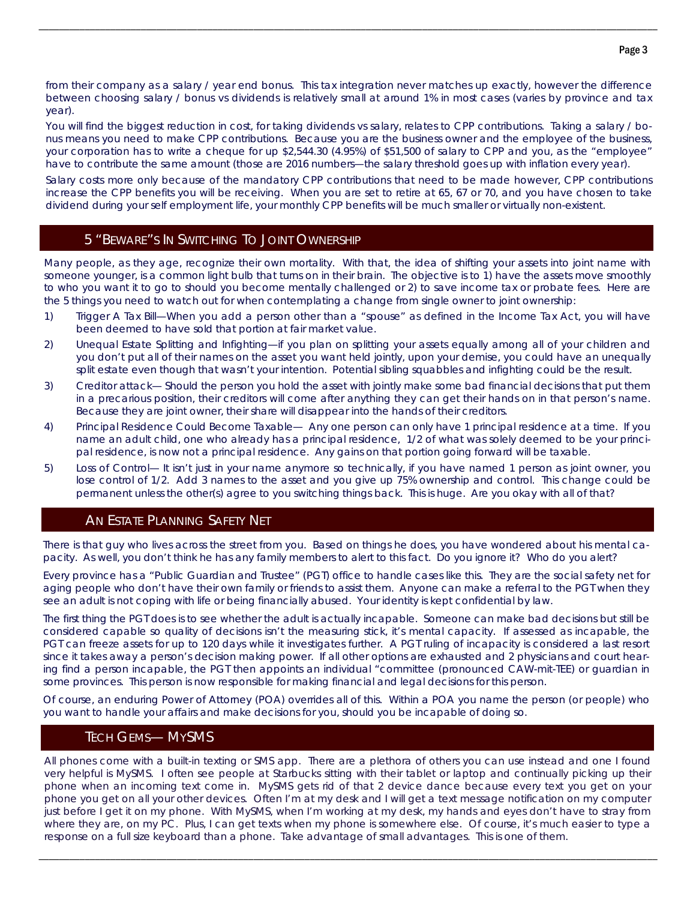from their company as a salary / year end bonus. This tax integration never matches up exactly, however the difference between choosing salary / bonus vs dividends is relatively small at around 1% in most cases (varies by province and tax year).

\_\_\_\_\_\_\_\_\_\_\_\_\_\_\_\_\_\_\_\_\_\_\_\_\_\_\_\_\_\_\_\_\_\_\_\_\_\_\_\_\_\_\_\_\_\_\_\_\_\_\_\_\_\_\_\_\_\_\_\_\_\_\_\_\_\_\_\_\_\_\_\_\_\_\_\_\_\_\_\_\_\_\_\_\_\_\_\_\_\_\_\_\_\_\_\_\_\_\_\_\_\_\_\_\_\_\_\_\_\_\_\_\_\_\_\_\_\_\_\_\_

You will find the biggest reduction in cost, for taking dividends vs salary, relates to CPP contributions. Taking a salary / bonus means you need to make CPP contributions. Because you are the business owner and the employee of the business, your corporation has to write a cheque for up \$2,544.30 (4.95%) of \$51,500 of salary to CPP and you, as the "employee" have to contribute the same amount (those are 2016 numbers—the salary threshold goes up with inflation every year).

Salary costs more only because of the mandatory CPP contributions that need to be made however, CPP contributions increase the CPP benefits you will be receiving. When you are set to retire at 65, 67 or 70, and you have chosen to take dividend during your self employment life, your monthly CPP benefits will be much smaller or virtually non-existent.

### 5 "BEWARE"S IN SWITCHING TO JOINT OWNERSHIP

Many people, as they age, recognize their own mortality. With that, the idea of shifting your assets into joint name with someone younger, is a common light bulb that turns on in their brain. The objective is to 1) have the assets move smoothly to who you want it to go to should you become mentally challenged or 2) to save income tax or probate fees. Here are the 5 things you need to watch out for when contemplating a change from single owner to joint ownership:

- 1) Trigger A Tax Bill—When you add a person other than a "spouse" as defined in the Income Tax Act, you will have been deemed to have sold that portion at fair market value.
- 2) Unequal Estate Splitting and Infighting—if you plan on splitting your assets equally among all of your children and you don't put all of their names on the asset you want held jointly, upon your demise, you could have an unequally split estate even though that wasn't your intention. Potential sibling squabbles and infighting could be the result.
- 3) Creditor attack— Should the person you hold the asset with jointly make some bad financial decisions that put them in a precarious position, their creditors will come after anything they can get their hands on in that person's name. Because they are joint owner, their share will disappear into the hands of their creditors.
- 4) Principal Residence Could Become Taxable— Any one person can only have 1 principal residence at a time. If you name an adult child, one who already has a principal residence, 1/2 of what was solely deemed to be your principal residence, is now not a principal residence. Any gains on that portion going forward will be taxable.
- 5) Loss of Control— It isn't just in your name anymore so technically, if you have named 1 person as joint owner, you lose control of 1/2. Add 3 names to the asset and you give up 75% ownership and control. This change could be permanent unless the other(s) agree to you switching things back. This is huge. Are you okay with all of that?

#### AN ESTATE PLANNING SAFETY NET

There is that guy who lives across the street from you. Based on things he does, you have wondered about his mental capacity. As well, you don't think he has any family members to alert to this fact. Do you ignore it? Who do you alert?

Every province has a "Public Guardian and Trustee" (PGT) office to handle cases like this. They are the social safety net for aging people who don't have their own family or friends to assist them. Anyone can make a referral to the PGT when they see an adult is not coping with life or being financially abused. Your identity is kept confidential by law.

The first thing the PGT does is to see whether the adult is actually incapable. Someone can make bad decisions but still be considered capable so quality of decisions isn't the measuring stick, it's mental capacity. If assessed as incapable, the PGT can freeze assets for up to 120 days while it investigates further. A PGT ruling of incapacity is considered a last resort since it takes away a person's decision making power. If all other options are exhausted and 2 physicians and court hearing find a person incapable, the PGT then appoints an individual "committee (pronounced CAW-mit-TEE) or guardian in some provinces. This person is now responsible for making financial and legal decisions for this person.

Of course, an enduring Power of Attorney (POA) overrides all of this. Within a POA you name the person (or people) who you want to handle your affairs and make decisions for you, should you be incapable of doing so.

### TECH GEMS— MYSMS

All phones come with a built-in texting or SMS app. There are a plethora of others you can use instead and one I found very helpful is MySMS. I often see people at Starbucks sitting with their tablet or laptop and continually picking up their phone when an incoming text come in. MySMS gets rid of that 2 device dance because every text you get on your phone you get on all your other devices. Often I'm at my desk and I will get a text message notification on my computer just before I get it on my phone. With MySMS, when I'm working at my desk, my hands and eyes don't have to stray from where they are, on my PC. Plus, I can get texts when my phone is somewhere else. Of course, it's much easier to type a response on a full size keyboard than a phone. Take advantage of small advantages. This is one of them.